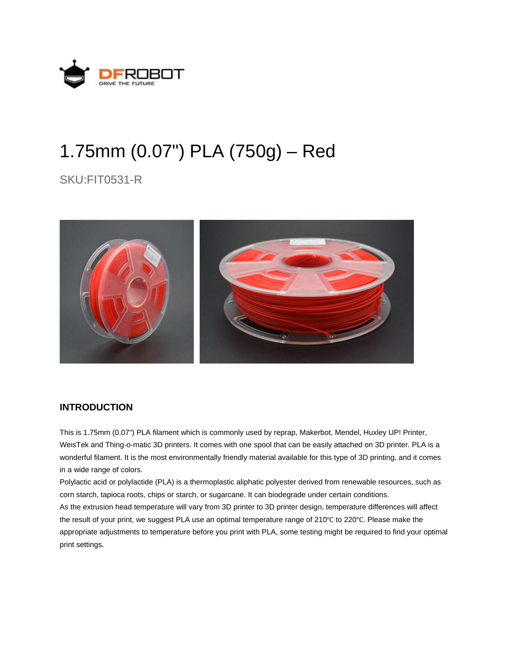

## 1.75mm (0.07") PLA (750g) – Red

SKU:FIT0531-R



## **INTRODUCTION**

This is 1.75mm (0.07") PLA filament which is commonly used by reprap, Makerbot, Mendel, Huxley UP! Printer, WeisTek and Thing-o-matic 3D printers. It comes with one spool that can be easily attached on 3D printer. PLA is a wonderful filament. It is the most environmentally friendly material available for this type of 3D printing, and it comes in a wide range of colors.

Polylactic acid or polylactide (PLA) is a thermoplastic aliphatic polyester derived from renewable resources, such as corn starch, tapioca roots, chips or starch, or sugarcane. It can biodegrade under certain conditions.

As the extrusion head temperature will vary from 3D printer to 3D printer design, temperature differences will affect the result of your print, we suggest PLA use an optimal temperature range of 210°C to 220°C. Please make the appropriate adjustments to temperature before you print with PLA, some testing might be required to find your optimal print settings.